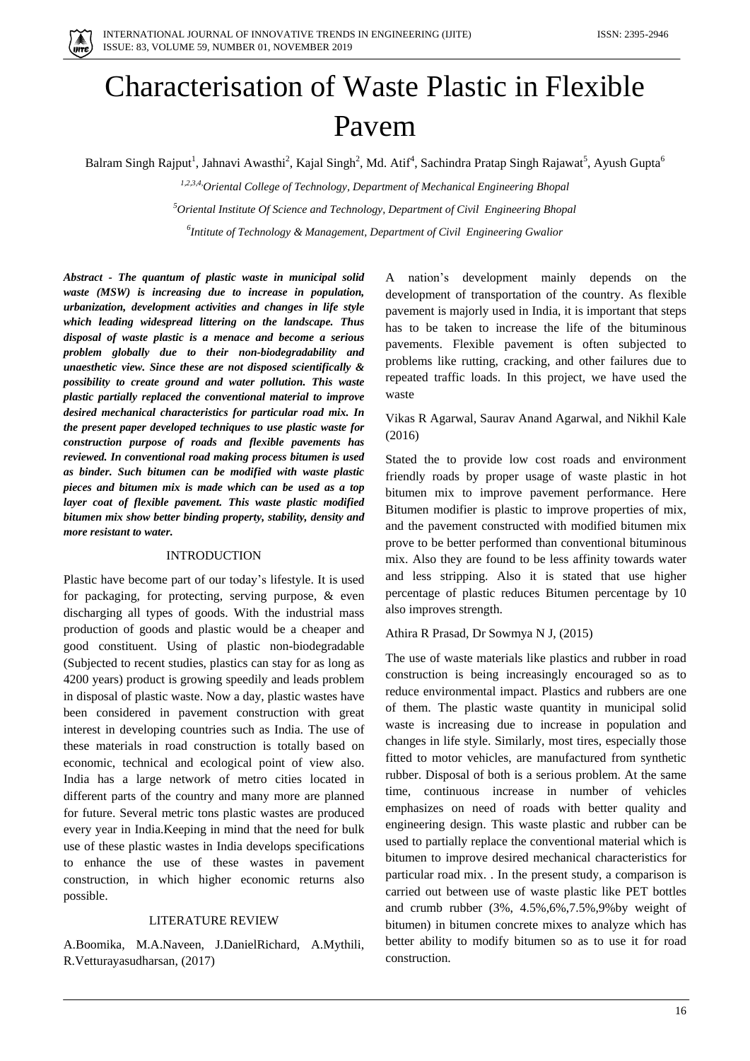

# Characterisation of Waste Plastic in Flexible Pavem

Balram Singh Rajput<sup>1</sup>, Jahnavi Awasthi<sup>2</sup>, Kajal Singh<sup>2</sup>, Md. Atif<sup>4</sup>, Sachindra Pratap Singh Rajawat<sup>5</sup>, Ayush Gupta<sup>6</sup>

*1,2,3,4,Oriental College of Technology, Department of Mechanical Engineering Bhopal <sup>5</sup>Oriental Institute Of Science and Technology, Department of Civil Engineering Bhopal 6 Intitute of Technology & Management, Department of Civil Engineering Gwalior*

*Abstract - The quantum of plastic waste in municipal solid waste (MSW) is increasing due to increase in population, urbanization, development activities and changes in life style which leading widespread littering on the landscape. Thus disposal of waste plastic is a menace and become a serious problem globally due to their non-biodegradability and unaesthetic view. Since these are not disposed scientifically & possibility to create ground and water pollution. This waste plastic partially replaced the conventional material to improve desired mechanical characteristics for particular road mix. In the present paper developed techniques to use plastic waste for construction purpose of roads and flexible pavements has reviewed. In conventional road making process bitumen is used as binder. Such bitumen can be modified with waste plastic pieces and bitumen mix is made which can be used as a top layer coat of flexible pavement. This waste plastic modified bitumen mix show better binding property, stability, density and more resistant to water.*

#### INTRODUCTION

Plastic have become part of our today's lifestyle. It is used for packaging, for protecting, serving purpose, & even discharging all types of goods. With the industrial mass production of goods and plastic would be a cheaper and good constituent. Using of plastic non-biodegradable (Subjected to recent studies, plastics can stay for as long as 4200 years) product is growing speedily and leads problem in disposal of plastic waste. Now a day, plastic wastes have been considered in pavement construction with great interest in developing countries such as India. The use of these materials in road construction is totally based on economic, technical and ecological point of view also. India has a large network of metro cities located in different parts of the country and many more are planned for future. Several metric tons plastic wastes are produced every year in India.Keeping in mind that the need for bulk use of these plastic wastes in India develops specifications to enhance the use of these wastes in pavement construction, in which higher economic returns also possible.

## LITERATURE REVIEW

A.Boomika, M.A.Naveen, J.DanielRichard, A.Mythili, R.Vetturayasudharsan, (2017)

A nation's development mainly depends on the development of transportation of the country. As flexible pavement is majorly used in India, it is important that steps has to be taken to increase the life of the bituminous pavements. Flexible pavement is often subjected to problems like rutting, cracking, and other failures due to repeated traffic loads. In this project, we have used the waste

Vikas R Agarwal, Saurav Anand Agarwal, and Nikhil Kale (2016)

Stated the to provide low cost roads and environment friendly roads by proper usage of waste plastic in hot bitumen mix to improve pavement performance. Here Bitumen modifier is plastic to improve properties of mix, and the pavement constructed with modified bitumen mix prove to be better performed than conventional bituminous mix. Also they are found to be less affinity towards water and less stripping. Also it is stated that use higher percentage of plastic reduces Bitumen percentage by 10 also improves strength.

Athira R Prasad, Dr Sowmya N J, (2015)

The use of waste materials like plastics and rubber in road construction is being increasingly encouraged so as to reduce environmental impact. Plastics and rubbers are one of them. The plastic waste quantity in municipal solid waste is increasing due to increase in population and changes in life style. Similarly, most tires, especially those fitted to motor vehicles, are manufactured from synthetic rubber. Disposal of both is a serious problem. At the same time, continuous increase in number of vehicles emphasizes on need of roads with better quality and engineering design. This waste plastic and rubber can be used to partially replace the conventional material which is bitumen to improve desired mechanical characteristics for particular road mix. . In the present study, a comparison is carried out between use of waste plastic like PET bottles and crumb rubber (3%, 4.5%,6%,7.5%,9%by weight of bitumen) in bitumen concrete mixes to analyze which has better ability to modify bitumen so as to use it for road construction.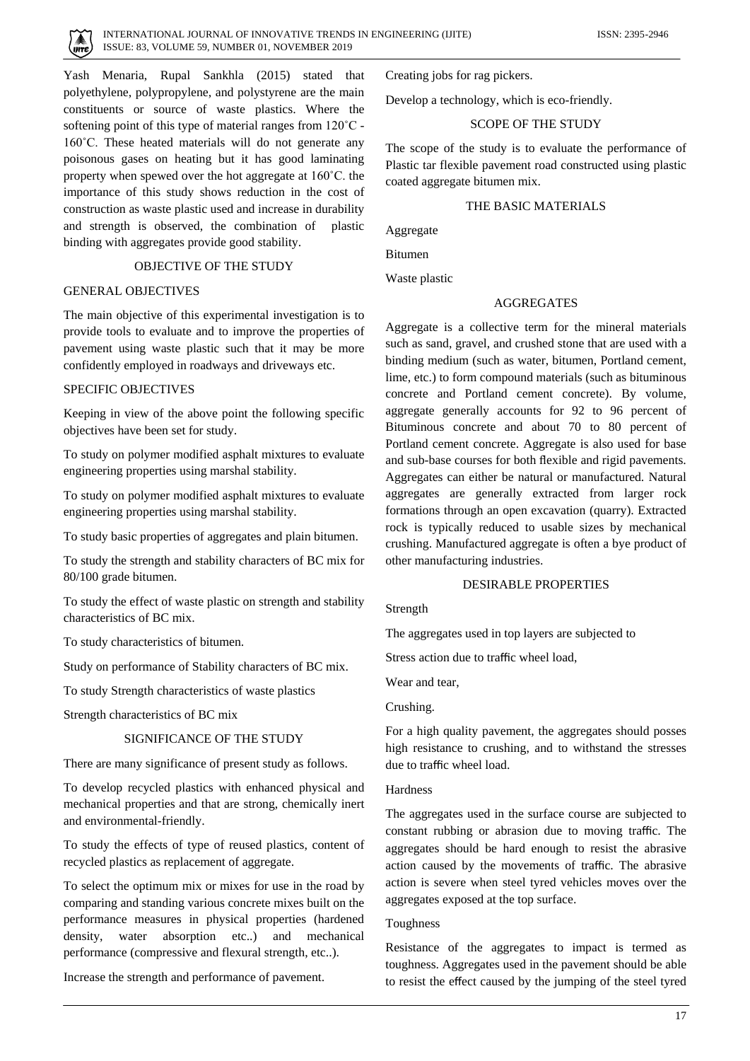

Yash Menaria, Rupal Sankhla (2015) stated that polyethylene, polypropylene, and polystyrene are the main constituents or source of waste plastics. Where the softening point of this type of material ranges from 120˚C - 160˚C. These heated materials will do not generate any poisonous gases on heating but it has good laminating property when spewed over the hot aggregate at 160˚C. the importance of this study shows reduction in the cost of construction as waste plastic used and increase in durability and strength is observed, the combination of plastic binding with aggregates provide good stability.

#### OBJECTIVE OF THE STUDY

## GENERAL OBJECTIVES

The main objective of this experimental investigation is to provide tools to evaluate and to improve the properties of pavement using waste plastic such that it may be more confidently employed in roadways and driveways etc.

#### SPECIFIC OBJECTIVES

Keeping in view of the above point the following specific objectives have been set for study.

To study on polymer modified asphalt mixtures to evaluate engineering properties using marshal stability.

To study on polymer modified asphalt mixtures to evaluate engineering properties using marshal stability.

To study basic properties of aggregates and plain bitumen.

To study the strength and stability characters of BC mix for 80/100 grade bitumen.

To study the effect of waste plastic on strength and stability characteristics of BC mix.

To study characteristics of bitumen.

Study on performance of Stability characters of BC mix.

To study Strength characteristics of waste plastics

Strength characteristics of BC mix

## SIGNIFICANCE OF THE STUDY

There are many significance of present study as follows.

To develop recycled plastics with enhanced physical and mechanical properties and that are strong, chemically inert and environmental-friendly.

To study the effects of type of reused plastics, content of recycled plastics as replacement of aggregate.

To select the optimum mix or mixes for use in the road by comparing and standing various concrete mixes built on the performance measures in physical properties (hardened density, water absorption etc..) and mechanical performance (compressive and flexural strength, etc..).

Increase the strength and performance of pavement.

Creating jobs for rag pickers.

Develop a technology, which is eco-friendly.

## SCOPE OF THE STUDY

The scope of the study is to evaluate the performance of Plastic tar flexible pavement road constructed using plastic coated aggregate bitumen mix.

## THE BASIC MATERIALS

Aggregate

Bitumen

Waste plastic

## **AGGREGATES**

Aggregate is a collective term for the mineral materials such as sand, gravel, and crushed stone that are used with a binding medium (such as water, bitumen, Portland cement, lime, etc.) to form compound materials (such as bituminous concrete and Portland cement concrete). By volume, aggregate generally accounts for 92 to 96 percent of Bituminous concrete and about 70 to 80 percent of Portland cement concrete. Aggregate is also used for base and sub-base courses for both flexible and rigid pavements. Aggregates can either be natural or manufactured. Natural aggregates are generally extracted from larger rock formations through an open excavation (quarry). Extracted rock is typically reduced to usable sizes by mechanical crushing. Manufactured aggregate is often a bye product of other manufacturing industries.

## DESIRABLE PROPERTIES

Strength

The aggregates used in top layers are subjected to

Stress action due to traffic wheel load,

Wear and tear,

Crushing.

For a high quality pavement, the aggregates should posses high resistance to crushing, and to withstand the stresses due to traffic wheel load.

#### **Hardness**

The aggregates used in the surface course are subjected to constant rubbing or abrasion due to moving traffic. The aggregates should be hard enough to resist the abrasive action caused by the movements of traffic. The abrasive action is severe when steel tyred vehicles moves over the aggregates exposed at the top surface.

#### Toughness

Resistance of the aggregates to impact is termed as toughness. Aggregates used in the pavement should be able to resist the effect caused by the jumping of the steel tyred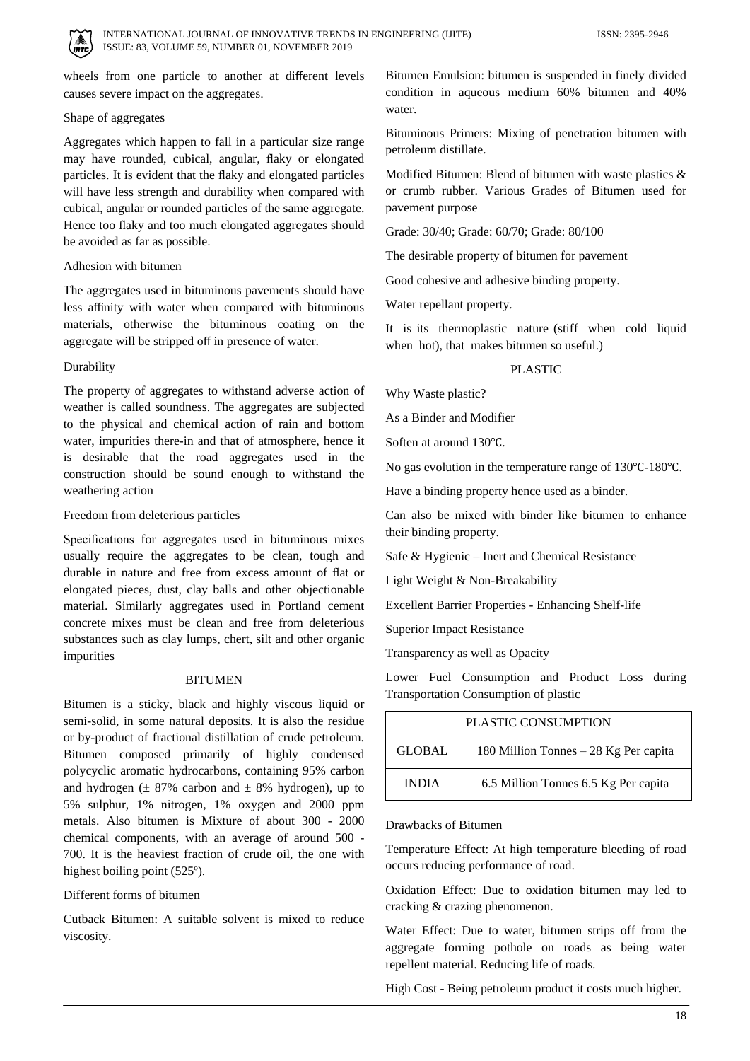

wheels from one particle to another at different levels causes severe impact on the aggregates.

## Shape of aggregates

Aggregates which happen to fall in a particular size range may have rounded, cubical, angular, flaky or elongated particles. It is evident that the flaky and elongated particles will have less strength and durability when compared with cubical, angular or rounded particles of the same aggregate. Hence too flaky and too much elongated aggregates should be avoided as far as possible.

## Adhesion with bitumen

The aggregates used in bituminous pavements should have less affinity with water when compared with bituminous materials, otherwise the bituminous coating on the aggregate will be stripped off in presence of water.

#### Durability

The property of aggregates to withstand adverse action of weather is called soundness. The aggregates are subjected to the physical and chemical action of rain and bottom water, impurities there-in and that of atmosphere, hence it is desirable that the road aggregates used in the construction should be sound enough to withstand the weathering action

#### Freedom from deleterious particles

Specifications for aggregates used in bituminous mixes usually require the aggregates to be clean, tough and durable in nature and free from excess amount of flat or elongated pieces, dust, clay balls and other objectionable material. Similarly aggregates used in Portland cement concrete mixes must be clean and free from deleterious substances such as clay lumps, chert, silt and other organic impurities

#### **BITUMEN**

Bitumen is a sticky, black and highly viscous liquid or semi-solid, in some natural deposits. It is also the residue or by-product of fractional distillation of crude petroleum. Bitumen composed primarily of highly condensed polycyclic aromatic hydrocarbons, containing 95% carbon and hydrogen ( $\pm$  87% carbon and  $\pm$  8% hydrogen), up to 5% sulphur, 1% nitrogen, 1% oxygen and 2000 ppm metals. Also bitumen is Mixture of about 300 - 2000 chemical components, with an average of around 500 - 700. It is the heaviest fraction of crude oil, the one with highest boiling point (525º).

## Different forms of bitumen

Cutback Bitumen: A suitable solvent is mixed to reduce viscosity.

Bitumen Emulsion: bitumen is suspended in finely divided condition in aqueous medium 60% bitumen and 40% water.

Bituminous Primers: Mixing of penetration bitumen with petroleum distillate.

Modified Bitumen: Blend of bitumen with waste plastics & or crumb rubber. Various Grades of Bitumen used for pavement purpose

Grade: 30/40; Grade: 60/70; Grade: 80/100

The desirable property of bitumen for pavement

Good cohesive and adhesive binding property.

Water repellant property.

It is its thermoplastic nature (stiff when cold liquid when hot), that makes bitumen so useful.)

#### PLASTIC

Why Waste plastic?

As a Binder and Modifier

Soften at around 130℃.

No gas evolution in the temperature range of 130℃-180℃.

Have a binding property hence used as a binder.

Can also be mixed with binder like bitumen to enhance their binding property.

Safe & Hygienic – Inert and Chemical Resistance

Light Weight & Non-Breakability

Excellent Barrier Properties - Enhancing Shelf-life

Superior Impact Resistance

Transparency as well as Opacity

Lower Fuel Consumption and Product Loss during Transportation Consumption of plastic

| PLASTIC CONSUMPTION |                                       |  |  |  |  |
|---------------------|---------------------------------------|--|--|--|--|
| GLOBAL              | 180 Million Tonnes – 28 Kg Per capita |  |  |  |  |
| <b>INDIA</b>        | 6.5 Million Tonnes 6.5 Kg Per capita  |  |  |  |  |

#### Drawbacks of Bitumen

Temperature Effect: At high temperature bleeding of road occurs reducing performance of road.

Oxidation Effect: Due to oxidation bitumen may led to cracking & crazing phenomenon.

Water Effect: Due to water, bitumen strips off from the aggregate forming pothole on roads as being water repellent material. Reducing life of roads.

High Cost - Being petroleum product it costs much higher.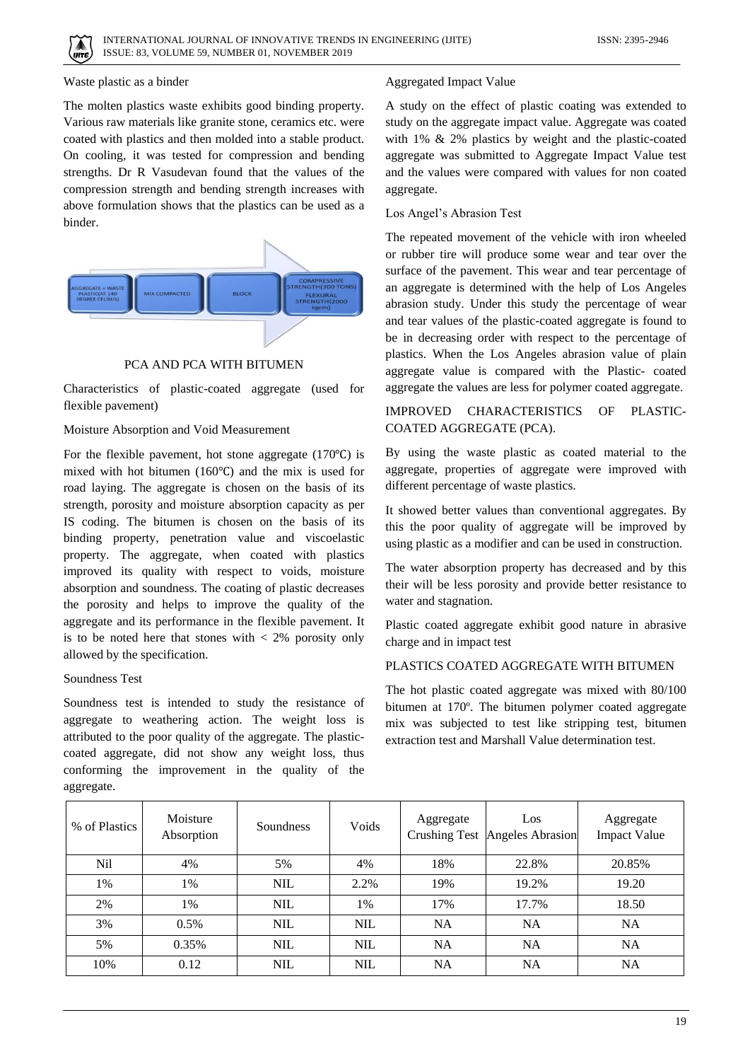

## Waste plastic as a binder

The molten plastics waste exhibits good binding property. Various raw materials like granite stone, ceramics etc. were coated with plastics and then molded into a stable product. On cooling, it was tested for compression and bending strengths. Dr R Vasudevan found that the values of the compression strength and bending strength increases with above formulation shows that the plastics can be used as a binder.



# PCA AND PCA WITH BITUMEN

Characteristics of plastic-coated aggregate (used for flexible pavement)

## Moisture Absorption and Void Measurement

For the flexible pavement, hot stone aggregate (170℃) is mixed with hot bitumen (160℃) and the mix is used for road laying. The aggregate is chosen on the basis of its strength, porosity and moisture absorption capacity as per IS coding. The bitumen is chosen on the basis of its binding property, penetration value and viscoelastic property. The aggregate, when coated with plastics improved its quality with respect to voids, moisture absorption and soundness. The coating of plastic decreases the porosity and helps to improve the quality of the aggregate and its performance in the flexible pavement. It is to be noted here that stones with  $\langle 2\%$  porosity only allowed by the specification.

## Soundness Test

Soundness test is intended to study the resistance of aggregate to weathering action. The weight loss is attributed to the poor quality of the aggregate. The plasticcoated aggregate, did not show any weight loss, thus conforming the improvement in the quality of the aggregate.

# Aggregated Impact Value

A study on the effect of plastic coating was extended to study on the aggregate impact value. Aggregate was coated with 1% & 2% plastics by weight and the plastic-coated aggregate was submitted to Aggregate Impact Value test and the values were compared with values for non coated aggregate.

## Los Angel's Abrasion Test

The repeated movement of the vehicle with iron wheeled or rubber tire will produce some wear and tear over the surface of the pavement. This wear and tear percentage of an aggregate is determined with the help of Los Angeles abrasion study. Under this study the percentage of wear and tear values of the plastic-coated aggregate is found to be in decreasing order with respect to the percentage of plastics. When the Los Angeles abrasion value of plain aggregate value is compared with the Plastic- coated aggregate the values are less for polymer coated aggregate.

# IMPROVED CHARACTERISTICS OF PLASTIC-COATED AGGREGATE (PCA).

By using the waste plastic as coated material to the aggregate, properties of aggregate were improved with different percentage of waste plastics.

It showed better values than conventional aggregates. By this the poor quality of aggregate will be improved by using plastic as a modifier and can be used in construction.

The water absorption property has decreased and by this their will be less porosity and provide better resistance to water and stagnation.

Plastic coated aggregate exhibit good nature in abrasive charge and in impact test

# PLASTICS COATED AGGREGATE WITH BITUMEN

The hot plastic coated aggregate was mixed with 80/100 bitumen at 170º. The bitumen polymer coated aggregate mix was subjected to test like stripping test, bitumen extraction test and Marshall Value determination test.

| % of Plastics | Moisture<br>Absorption | Soundness  | Voids      | Aggregate | Los<br>Crushing Test Angeles Abrasion | Aggregate<br><b>Impact Value</b> |
|---------------|------------------------|------------|------------|-----------|---------------------------------------|----------------------------------|
| Nil           | 4%                     | 5%         | 4%         | 18%       | 22.8%                                 | 20.85%                           |
| 1%            | 1%                     | <b>NIL</b> | 2.2%       | 19%       | 19.2%                                 | 19.20                            |
| 2%            | 1%                     | <b>NIL</b> | 1%         | 17%       | 17.7%                                 | 18.50                            |
| 3%            | $0.5\%$                | <b>NIL</b> | <b>NIL</b> | <b>NA</b> | <b>NA</b>                             | <b>NA</b>                        |
| 5%            | 0.35%                  | <b>NIL</b> | <b>NIL</b> | <b>NA</b> | <b>NA</b>                             | <b>NA</b>                        |
| 10%           | 0.12                   | <b>NIL</b> | <b>NIL</b> | NA        | NA                                    | <b>NA</b>                        |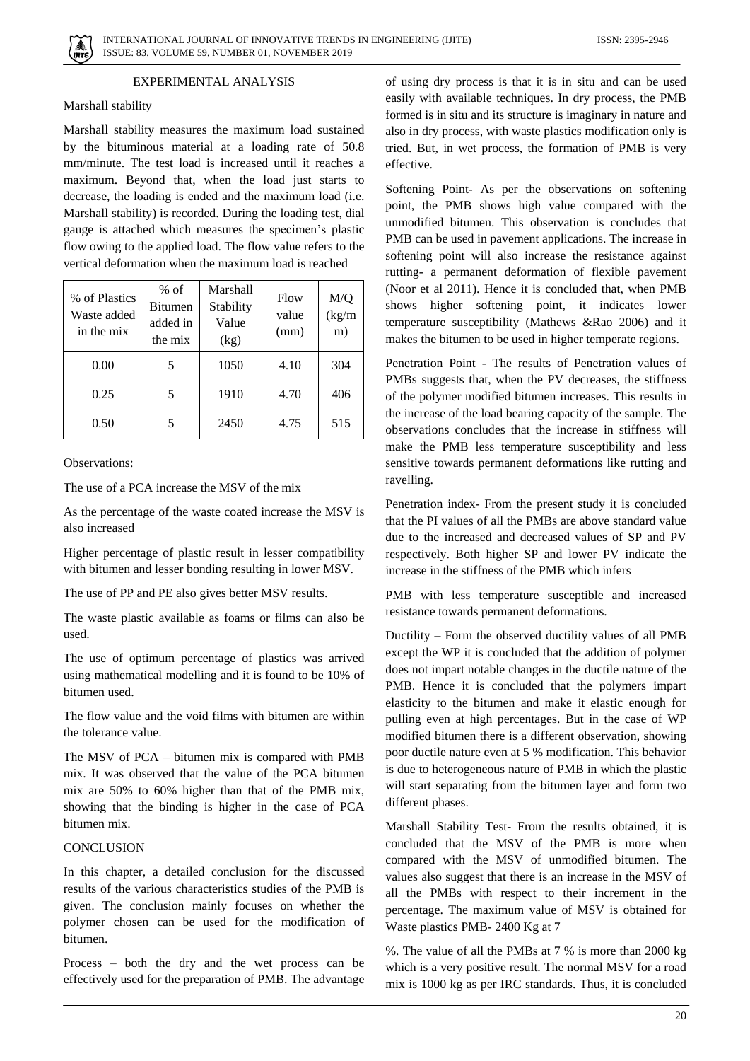

# EXPERIMENTAL ANALYSIS

## Marshall stability

Marshall stability measures the maximum load sustained by the bituminous material at a loading rate of 50.8 mm/minute. The test load is increased until it reaches a maximum. Beyond that, when the load just starts to decrease, the loading is ended and the maximum load (i.e. Marshall stability) is recorded. During the loading test, dial gauge is attached which measures the specimen's plastic flow owing to the applied load. The flow value refers to the vertical deformation when the maximum load is reached

| % of Plastics<br>Waste added<br>in the mix | $%$ of<br><b>Bitumen</b><br>added in<br>the mix | Marshall<br>Stability<br>Value<br>(kg) | Flow<br>value<br>(mm) | M/Q<br>(kg/m)<br>m) |
|--------------------------------------------|-------------------------------------------------|----------------------------------------|-----------------------|---------------------|
| 0.00                                       |                                                 | 1050                                   | 4.10                  | 304                 |
| 0.25                                       | 5                                               | 1910                                   | 4.70                  | 406                 |
| 0.50                                       |                                                 | 2450                                   | 4.75                  | 515                 |

Observations:

The use of a PCA increase the MSV of the mix

As the percentage of the waste coated increase the MSV is also increased

Higher percentage of plastic result in lesser compatibility with bitumen and lesser bonding resulting in lower MSV.

The use of PP and PE also gives better MSV results.

The waste plastic available as foams or films can also be used.

The use of optimum percentage of plastics was arrived using mathematical modelling and it is found to be 10% of bitumen used.

The flow value and the void films with bitumen are within the tolerance value.

The MSV of PCA – bitumen mix is compared with PMB mix. It was observed that the value of the PCA bitumen mix are 50% to 60% higher than that of the PMB mix, showing that the binding is higher in the case of PCA bitumen mix.

## **CONCLUSION**

In this chapter, a detailed conclusion for the discussed results of the various characteristics studies of the PMB is given. The conclusion mainly focuses on whether the polymer chosen can be used for the modification of bitumen.

Process – both the dry and the wet process can be effectively used for the preparation of PMB. The advantage of using dry process is that it is in situ and can be used easily with available techniques. In dry process, the PMB formed is in situ and its structure is imaginary in nature and also in dry process, with waste plastics modification only is tried. But, in wet process, the formation of PMB is very effective.

Softening Point- As per the observations on softening point, the PMB shows high value compared with the unmodified bitumen. This observation is concludes that PMB can be used in pavement applications. The increase in softening point will also increase the resistance against rutting- a permanent deformation of flexible pavement (Noor et al 2011). Hence it is concluded that, when PMB shows higher softening point, it indicates lower temperature susceptibility (Mathews &Rao 2006) and it makes the bitumen to be used in higher temperate regions.

Penetration Point - The results of Penetration values of PMBs suggests that, when the PV decreases, the stiffness of the polymer modified bitumen increases. This results in the increase of the load bearing capacity of the sample. The observations concludes that the increase in stiffness will make the PMB less temperature susceptibility and less sensitive towards permanent deformations like rutting and ravelling.

Penetration index- From the present study it is concluded that the PI values of all the PMBs are above standard value due to the increased and decreased values of SP and PV respectively. Both higher SP and lower PV indicate the increase in the stiffness of the PMB which infers

PMB with less temperature susceptible and increased resistance towards permanent deformations.

Ductility – Form the observed ductility values of all PMB except the WP it is concluded that the addition of polymer does not impart notable changes in the ductile nature of the PMB. Hence it is concluded that the polymers impart elasticity to the bitumen and make it elastic enough for pulling even at high percentages. But in the case of WP modified bitumen there is a different observation, showing poor ductile nature even at 5 % modification. This behavior is due to heterogeneous nature of PMB in which the plastic will start separating from the bitumen layer and form two different phases.

Marshall Stability Test- From the results obtained, it is concluded that the MSV of the PMB is more when compared with the MSV of unmodified bitumen. The values also suggest that there is an increase in the MSV of all the PMBs with respect to their increment in the percentage. The maximum value of MSV is obtained for Waste plastics PMB- 2400 Kg at 7

%. The value of all the PMBs at 7 % is more than 2000 kg which is a very positive result. The normal MSV for a road mix is 1000 kg as per IRC standards. Thus, it is concluded